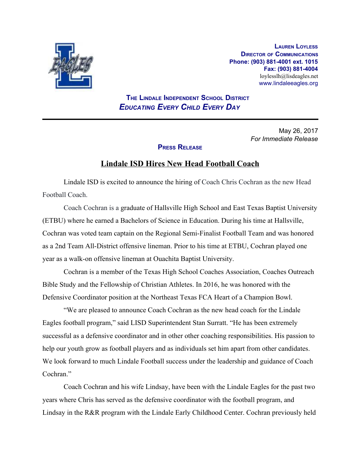

**LAUREN LOYLESS DIRECTOR OF COMMUNICATIONS Phone: (903) 881-4001 ext. 1015 Fax: (903) 881-4004** loylesslh@lisdeagles.net www.lindaleeagles.org

 **THE LINDALE INDEPENDENT SCHOOL DISTRICT** *EDUCATING EVERY CHILD EVERY DAY*

> May 26, 2017 *For Immediate Release*

## **PRESS RELEASE**

## **Lindale ISD Hires New Head Football Coach**

Lindale ISD is excited to announce the hiring of Coach Chris Cochran as the new Head Football Coach.

Coach Cochran is a graduate of Hallsville High School and East Texas Baptist University (ETBU) where he earned a Bachelors of Science in Education. During his time at Hallsville, Cochran was voted team captain on the Regional Semi-Finalist Football Team and was honored as a 2nd Team All-District offensive lineman. Prior to his time at ETBU, Cochran played one year as a walk-on offensive lineman at Ouachita Baptist University.

Cochran is a member of the Texas High School Coaches Association, Coaches Outreach Bible Study and the Fellowship of Christian Athletes. In 2016, he was honored with the Defensive Coordinator position at the Northeast Texas FCA Heart of a Champion Bowl.

"We are pleased to announce Coach Cochran as the new head coach for the Lindale Eagles football program," said LISD Superintendent Stan Surratt. "He has been extremely successful as a defensive coordinator and in other other coaching responsibilities. His passion to help our youth grow as football players and as individuals set him apart from other candidates. We look forward to much Lindale Football success under the leadership and guidance of Coach Cochran<sup>"</sup>

Coach Cochran and his wife Lindsay, have been with the Lindale Eagles for the past two years where Chris has served as the defensive coordinator with the football program, and Lindsay in the R&R program with the Lindale Early Childhood Center. Cochran previously held